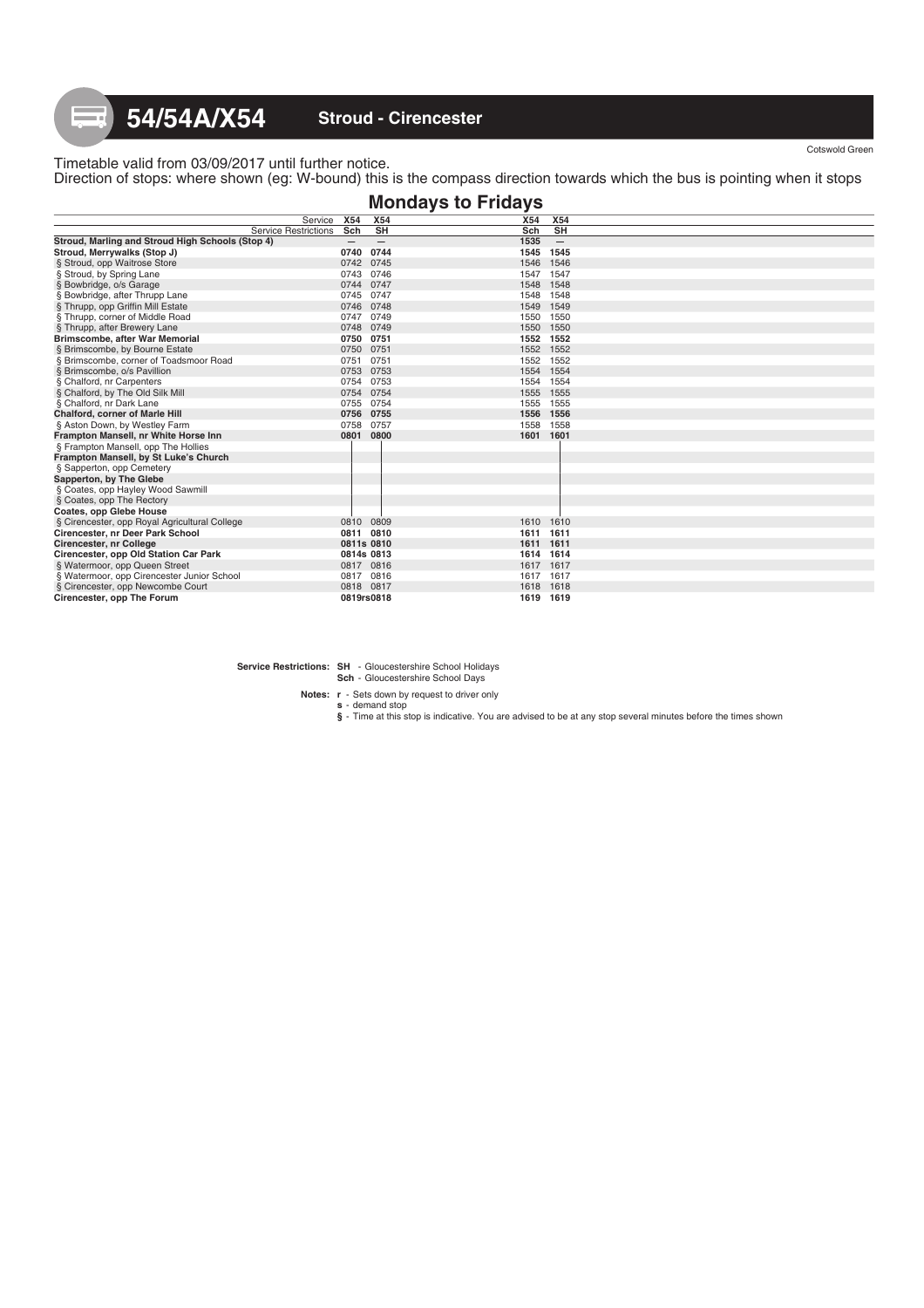## Timetable valid from 03/09/2017 until further notice. Direction of stops: where shown (eg: W-bound) this is the compass direction towards which the bus is pointing when it stops

|                                                  |                   |                   | <b>Mondays to Fridays</b> |                                 |
|--------------------------------------------------|-------------------|-------------------|---------------------------|---------------------------------|
| Service                                          | X54               | <b>X54</b>        | X54                       | X54                             |
| <b>Service Restrictions</b>                      | Sch               | <b>SH</b>         | Sch                       | <b>SH</b>                       |
| Stroud, Marling and Stroud High Schools (Stop 4) | $\qquad \qquad -$ | $\qquad \qquad -$ | 1535                      | $\hspace{0.1mm}-\hspace{0.1mm}$ |
| Stroud, Merrywalks (Stop J)                      | 0740              | 0744              | 1545 1545                 |                                 |
| § Stroud, opp Waitrose Store                     | 0742 0745         |                   |                           | 1546 1546                       |
| § Stroud, by Spring Lane                         | 0743 0746         |                   | 1547 1547                 |                                 |
| § Bowbridge, o/s Garage                          | 0744 0747         |                   |                           | 1548 1548                       |
| § Bowbridge, after Thrupp Lane                   | 0745 0747         |                   |                           | 1548 1548                       |
| § Thrupp, opp Griffin Mill Estate                | 0746 0748         |                   |                           | 1549 1549                       |
| § Thrupp, corner of Middle Road                  | 0747 0749         |                   | 1550 1550                 |                                 |
| § Thrupp, after Brewery Lane                     | 0748 0749         |                   |                           | 1550 1550                       |
| Brimscombe, after War Memorial                   | 0750 0751         |                   | 1552 1552                 |                                 |
| § Brimscombe, by Bourne Estate                   | 0750 0751         |                   |                           | 1552 1552                       |
| § Brimscombe, corner of Toadsmoor Road           | 0751              | 0751              |                           | 1552 1552                       |
| § Brimscombe, o/s Pavillion                      | 0753 0753         |                   |                           | 1554 1554                       |
| § Chalford, nr Carpenters                        | 0754 0753         |                   |                           | 1554 1554                       |
| § Chalford, by The Old Silk Mill                 | 0754 0754         |                   |                           | 1555 1555                       |
| § Chalford, nr Dark Lane                         | 0755 0754         |                   |                           | 1555 1555                       |
| Chalford, corner of Marle Hill                   | 0756 0755         |                   |                           | 1556 1556                       |
| § Aston Down, by Westley Farm                    | 0758              | 0757              |                           | 1558 1558                       |
| Frampton Mansell, nr White Horse Inn             | 0801 0800         |                   | 1601 1601                 |                                 |
| § Frampton Mansell, opp The Hollies              |                   |                   |                           |                                 |
| Frampton Mansell, by St Luke's Church            |                   |                   |                           |                                 |
| § Sapperton, opp Cemetery                        |                   |                   |                           |                                 |
| Sapperton, by The Glebe                          |                   |                   |                           |                                 |
| § Coates, opp Hayley Wood Sawmill                |                   |                   |                           |                                 |
| § Coates, opp The Rectory                        |                   |                   |                           |                                 |
| Coates, opp Glebe House                          |                   |                   |                           |                                 |
| § Cirencester, opp Royal Agricultural College    |                   | 0810 0809         |                           | 1610 1610                       |
| Cirencester, nr Deer Park School                 | 0811 0810         |                   | 1611 1611                 |                                 |
| Cirencester, nr College                          | 0811s 0810        |                   | 1611 1611                 |                                 |
| Cirencester, opp Old Station Car Park            | 0814s 0813        |                   | 1614 1614                 |                                 |
| § Watermoor, opp Queen Street                    | 0817 0816         |                   | 1617 1617                 |                                 |
| § Watermoor, opp Cirencester Junior School       | 0817 0816         |                   | 1617 1617                 |                                 |
| § Cirencester, opp Newcombe Court                |                   | 0818 0817         |                           | 1618 1618                       |
| Cirencester, opp The Forum                       | 0819rs0818        |                   |                           | 1619 1619                       |

**Service Restrictions: SH** - Gloucestershire School Holidays **Sch** - Gloucestershire School Days

**Notes: r** - Sets down by request to driver only

**s** - demand stop **§** - Time at this stop is indicative. You are advised to be at any stop several minutes before the times shown

Cotswold Green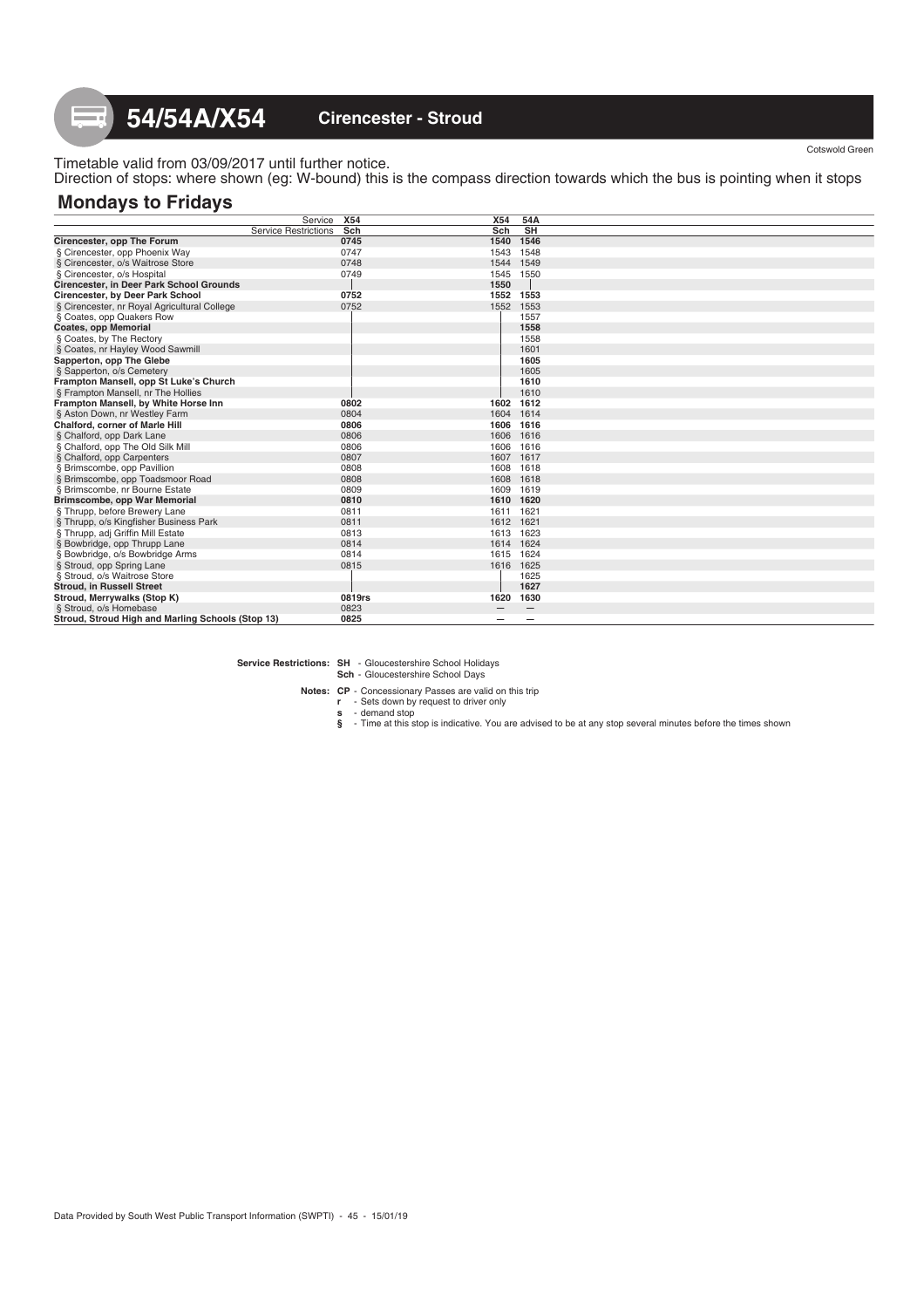Timetable valid from 03/09/2017 until further notice. Direction of stops: where shown (eg: W-bound) this is the compass direction towards which the bus is pointing when it stops

# **Mondays to Fridays**

|                                                   | Service                     | <b>X54</b> | X54       | 54A             |  |
|---------------------------------------------------|-----------------------------|------------|-----------|-----------------|--|
|                                                   | <b>Service Restrictions</b> | Sch        | Sch       | <b>SH</b>       |  |
| Cirencester, opp The Forum                        |                             | 0745       | 1540      | 1546            |  |
| § Cirencester, opp Phoenix Way                    |                             | 0747       | 1543      | 1548            |  |
| § Cirencester, o/s Waitrose Store                 |                             | 0748       | 1544      | 1549            |  |
| § Cirencester, o/s Hospital                       |                             | 0749       | 1545      | 1550            |  |
| Cirencester, in Deer Park School Grounds          |                             |            | 1550      |                 |  |
| Cirencester, by Deer Park School                  |                             | 0752       | 1552      | 1553            |  |
| § Cirencester, nr Royal Agricultural College      |                             | 0752       | 1552      | 1553            |  |
| § Coates, opp Quakers Row                         |                             |            |           | 1557            |  |
| <b>Coates, opp Memorial</b>                       |                             |            |           | 1558            |  |
| § Coates, by The Rectory                          |                             |            |           | 1558            |  |
| § Coates, nr Hayley Wood Sawmill                  |                             |            |           | 1601            |  |
| Sapperton, opp The Glebe                          |                             |            |           | 1605            |  |
| § Sapperton, o/s Cemetery                         |                             |            |           | 1605            |  |
| Frampton Mansell, opp St Luke's Church            |                             |            |           | 1610            |  |
| § Frampton Mansell, nr The Hollies                |                             |            |           | 1610            |  |
| Frampton Mansell, by White Horse Inn              |                             | 0802       | 1602      | 1612            |  |
| § Aston Down, nr Westley Farm                     |                             | 0804       | 1604      | 1614            |  |
| <b>Chalford, corner of Marle Hill</b>             |                             | 0806       | 1606      | 1616            |  |
| § Chalford, opp Dark Lane                         |                             | 0806       | 1606      | 1616            |  |
| § Chalford, opp The Old Silk Mill                 |                             | 0806       | 1606      | 1616            |  |
| § Chalford, opp Carpenters                        |                             | 0807       | 1607 1617 |                 |  |
| § Brimscombe, opp Pavillion                       |                             | 0808       | 1608 1618 |                 |  |
| § Brimscombe, opp Toadsmoor Road                  |                             | 0808       | 1608 1618 |                 |  |
| § Brimscombe, nr Bourne Estate                    |                             | 0809       | 1609 1619 |                 |  |
| Brimscombe, opp War Memorial                      |                             | 0810       | 1610 1620 |                 |  |
| § Thrupp, before Brewery Lane                     |                             | 0811       | 1611 1621 |                 |  |
| § Thrupp, o/s Kingfisher Business Park            |                             | 0811       | 1612 1621 |                 |  |
| § Thrupp, adj Griffin Mill Estate                 |                             | 0813       | 1613 1623 |                 |  |
| § Bowbridge, opp Thrupp Lane                      |                             | 0814       | 1614 1624 |                 |  |
| § Bowbridge, o/s Bowbridge Arms                   |                             | 0814       | 1615 1624 |                 |  |
| § Stroud, opp Spring Lane                         |                             | 0815       | 1616 1625 |                 |  |
| § Stroud, o/s Waitrose Store                      |                             |            |           | 1625            |  |
| <b>Stroud, in Russell Street</b>                  |                             |            |           | 1627            |  |
| Stroud, Merrywalks (Stop K)                       |                             | 0819rs     | 1620      | 1630            |  |
| § Stroud, o/s Homebase                            |                             | 0823       |           | $\qquad \qquad$ |  |
| Stroud, Stroud High and Marling Schools (Stop 13) |                             | 0825       |           | -               |  |

**Service Restrictions: SH** - Gloucestershire School Holidays

**Sch** - Gloucestershire School Days

Notes: CP - Concessionary Passes are valid on this trip<br>
r - Sets down by request to driver only<br>
s - demand stop<br>
s - Time at this stop is indicative. You are advised to be at any stop several minutes before the times sho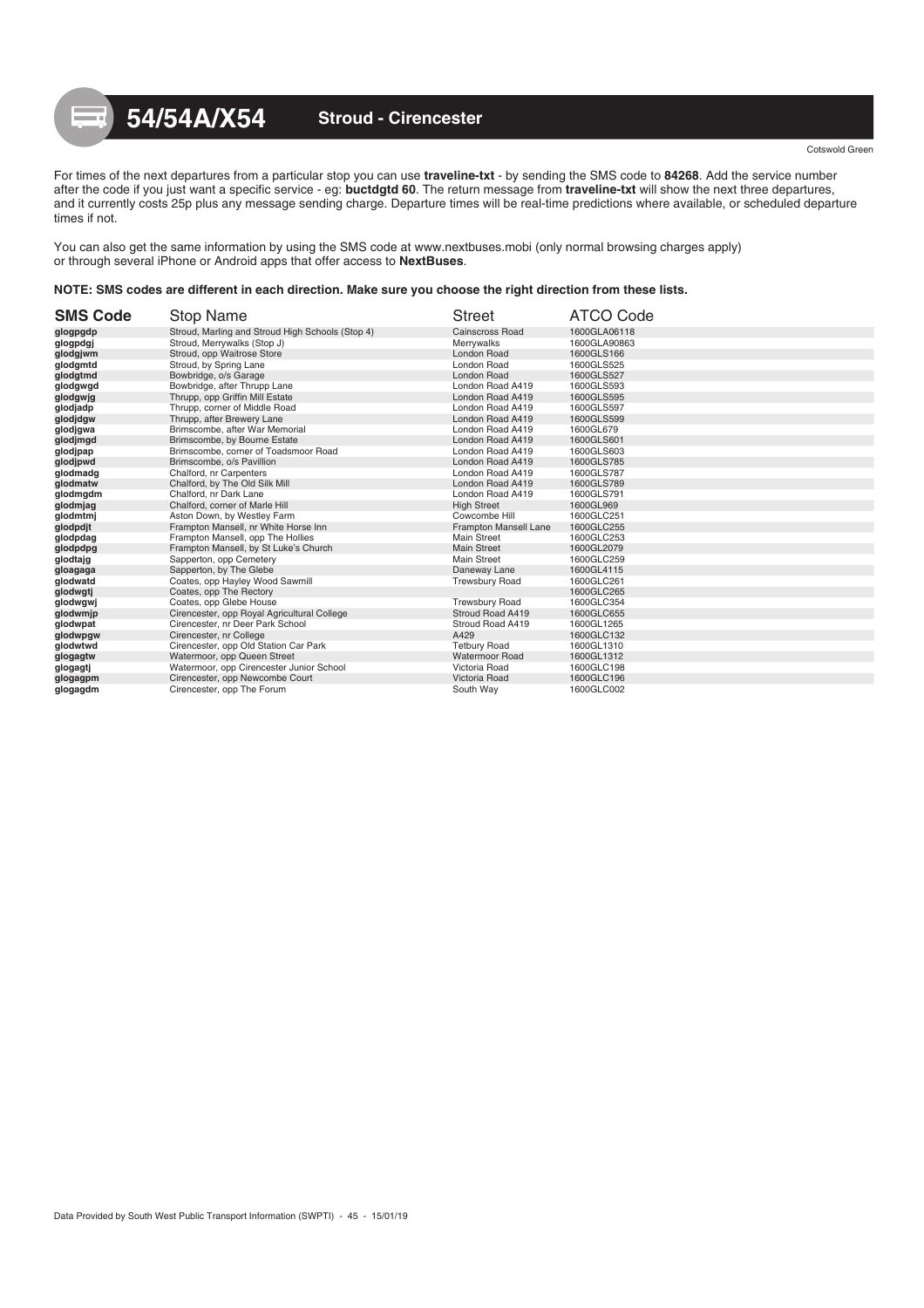For times of the next departures from a particular stop you can use **traveline-txt** - by sending the SMS code to **84268**. Add the service number after the code if you just want a specific service - eg: **buctdgtd 60**. The return message from **traveline-txt** will show the next three departures, and it currently costs 25p plus any message sending charge. Departure times will be real-time predictions where available, or scheduled departure times if not.

You can also get the same information by using the SMS code at www.nextbuses.mobi (only normal browsing charges apply) or through several iPhone or Android apps that offer access to **NextBuses**.

### **NOTE: SMS codes are different in each direction. Make sure you choose the right direction from these lists.**

| <b>SMS Code</b> | <b>Stop Name</b>                                 | <b>Street</b>          | ATCO Code    |
|-----------------|--------------------------------------------------|------------------------|--------------|
| glogpgdp        | Stroud, Marling and Stroud High Schools (Stop 4) | <b>Cainscross Road</b> | 1600GLA06118 |
| glogpdgj        | Stroud, Merrywalks (Stop J)                      | Merrywalks             | 1600GLA90863 |
| glodgjwm        | Stroud, opp Waitrose Store                       | London Road            | 1600GLS166   |
| glodgmtd        | Stroud, by Spring Lane                           | London Road            | 1600GLS525   |
| glodgtmd        | Bowbridge, o/s Garage                            | London Road            | 1600GLS527   |
| glodgwgd        | Bowbridge, after Thrupp Lane                     | London Road A419       | 1600GLS593   |
| glodgwjg        | Thrupp, opp Griffin Mill Estate                  | London Road A419       | 1600GLS595   |
| glodjadp        | Thrupp, corner of Middle Road                    | London Road A419       | 1600GLS597   |
| qlodjdgw        | Thrupp, after Brewery Lane                       | London Road A419       | 1600GLS599   |
| glodjgwa        | Brimscombe, after War Memorial                   | London Road A419       | 1600GL679    |
| glodjmgd        | Brimscombe, by Bourne Estate                     | London Road A419       | 1600GLS601   |
| glodjpap        | Brimscombe, corner of Toadsmoor Road             | London Road A419       | 1600GLS603   |
| glodjpwd        | Brimscombe, o/s Pavillion                        | London Road A419       | 1600GLS785   |
| glodmadg        | Chalford, nr Carpenters                          | London Road A419       | 1600GLS787   |
| qlodmatw        | Chalford, by The Old Silk Mill                   | London Road A419       | 1600GLS789   |
| glodmgdm        | Chalford, nr Dark Lane                           | London Road A419       | 1600GLS791   |
| glodmjag        | Chalford, corner of Marle Hill                   | <b>High Street</b>     | 1600GL969    |
| glodmtmj        | Aston Down, by Westley Farm                      | Cowcombe Hill          | 1600GLC251   |
| glodpdjt        | Frampton Mansell, nr White Horse Inn             | Frampton Mansell Lane  | 1600GLC255   |
| glodpdag        | Frampton Mansell, opp The Hollies                | Main Street            | 1600GLC253   |
| glodpdpg        | Frampton Mansell, by St Luke's Church            | <b>Main Street</b>     | 1600GL2079   |
| glodtajg        | Sapperton, opp Cemetery                          | Main Street            | 1600GLC259   |
| gloagaga        | Sapperton, by The Glebe                          | Daneway Lane           | 1600GL4115   |
| qlodwatd        | Coates, opp Hayley Wood Sawmill                  | <b>Trewsbury Road</b>  | 1600GLC261   |
| glodwgtj        | Coates, opp The Rectory                          |                        | 1600GLC265   |
| glodwgwj        | Coates, opp Glebe House                          | <b>Trewsbury Road</b>  | 1600GLC354   |
| qlodwmjp        | Cirencester, opp Royal Agricultural College      | Stroud Road A419       | 1600GLC655   |
| glodwpat        | Cirencester, nr Deer Park School                 | Stroud Road A419       | 1600GL1265   |
| glodwpgw        | Cirencester, nr College                          | A429                   | 1600GLC132   |
| glodwtwd        | Cirencester, opp Old Station Car Park            | <b>Tetbury Road</b>    | 1600GL1310   |
| glogagtw        | Watermoor, opp Queen Street                      | <b>Watermoor Road</b>  | 1600GL1312   |
| glogagtj        | Watermoor, opp Cirencester Junior School         | Victoria Road          | 1600GLC198   |
| glogagpm        | Cirencester, opp Newcombe Court                  | Victoria Road          | 1600GLC196   |
| glogagdm        | Cirencester, opp The Forum                       | South Way              | 1600GLC002   |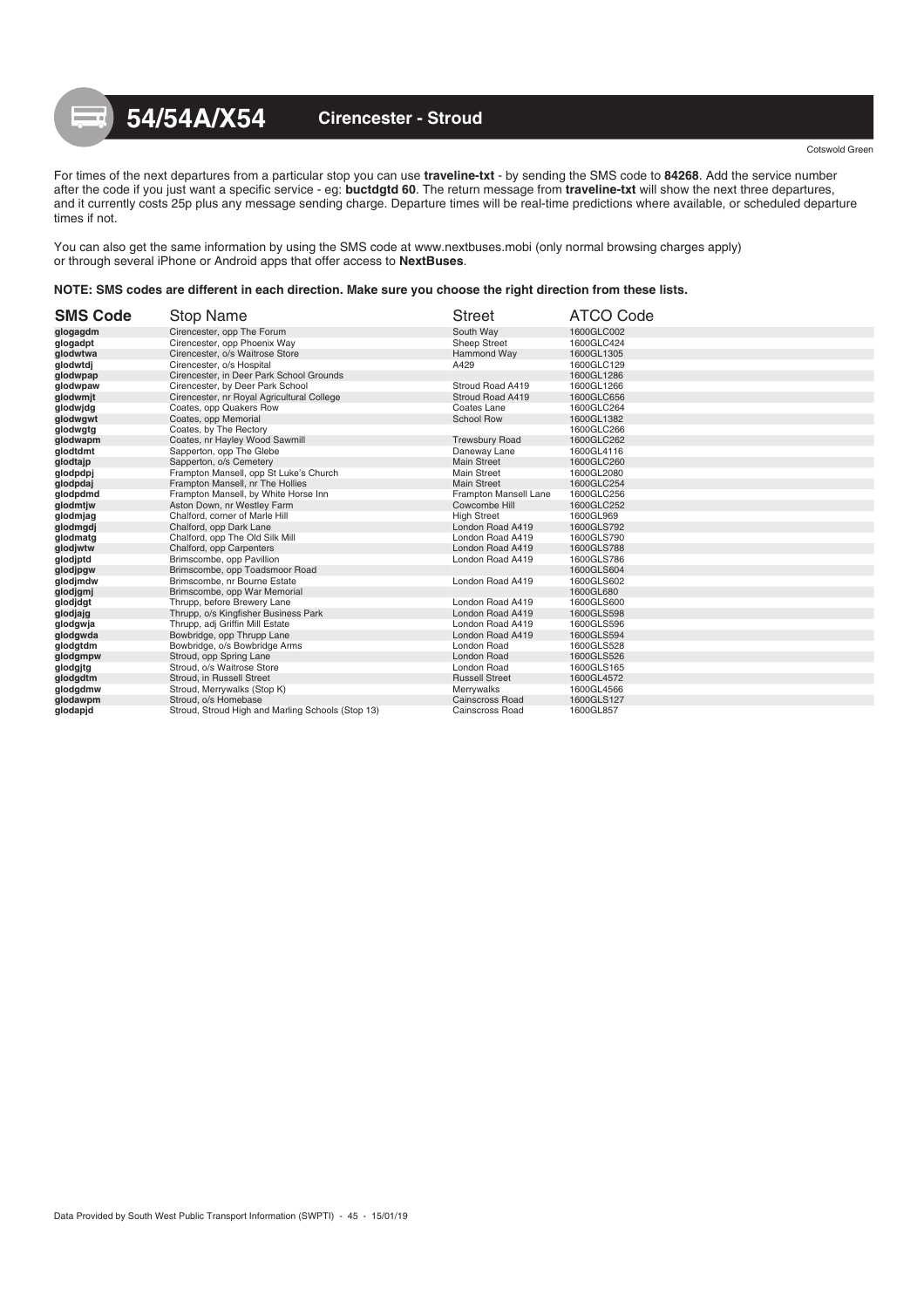For times of the next departures from a particular stop you can use **traveline-txt** - by sending the SMS code to **84268**. Add the service number after the code if you just want a specific service - eg: **buctdgtd 60**. The return message from **traveline-txt** will show the next three departures, and it currently costs 25p plus any message sending charge. Departure times will be real-time predictions where available, or scheduled departure times if not.

You can also get the same information by using the SMS code at www.nextbuses.mobi (only normal browsing charges apply) or through several iPhone or Android apps that offer access to **NextBuses**.

### **NOTE: SMS codes are different in each direction. Make sure you choose the right direction from these lists.**

| <b>SMS Code</b> | Stop Name                                         | <b>Street</b>          | <b>ATCO Code</b> |
|-----------------|---------------------------------------------------|------------------------|------------------|
| glogagdm        | Cirencester, opp The Forum                        | South Way              | 1600GLC002       |
| glogadpt        | Cirencester, opp Phoenix Way                      | <b>Sheep Street</b>    | 1600GLC424       |
| glodwtwa        | Cirencester, o/s Waitrose Store                   | Hammond Way            | 1600GL1305       |
| glodwtdj        | Cirencester, o/s Hospital                         | A429                   | 1600GLC129       |
| qlodwpap        | Cirencester, in Deer Park School Grounds          |                        | 1600GL1286       |
| glodwpaw        | Cirencester, by Deer Park School                  | Stroud Road A419       | 1600GL1266       |
| glodwmjt        | Cirencester, nr Royal Agricultural College        | Stroud Road A419       | 1600GLC656       |
| glodwidg        | Coates, opp Quakers Row                           | Coates Lane            | 1600GLC264       |
| glodwgwt        | Coates, opp Memorial                              | <b>School Row</b>      | 1600GL1382       |
| glodwgtg        | Coates, by The Rectory                            |                        | 1600GLC266       |
| qlodwapm        | Coates, nr Hayley Wood Sawmill                    | <b>Trewsbury Road</b>  | 1600GLC262       |
| glodtdmt        | Sapperton, opp The Glebe                          | Daneway Lane           | 1600GL4116       |
| glodtajp        | Sapperton, o/s Cemetery                           | <b>Main Street</b>     | 1600GLC260       |
| glodpdpj        | Frampton Mansell, opp St Luke's Church            | <b>Main Street</b>     | 1600GL2080       |
| glodpdaj        | Frampton Mansell, nr The Hollies                  | <b>Main Street</b>     | 1600GLC254       |
| glodpdmd        | Frampton Mansell, by White Horse Inn              | Frampton Mansell Lane  | 1600GLC256       |
| glodmtjw        | Aston Down, nr Westley Farm                       | Cowcombe Hill          | 1600GLC252       |
| glodmjag        | Chalford, corner of Marle Hill                    | <b>High Street</b>     | 1600GL969        |
| qlodmqdj        | Chalford, opp Dark Lane                           | London Road A419       | 1600GLS792       |
| glodmatg        | Chalford, opp The Old Silk Mill                   | London Road A419       | 1600GLS790       |
| glodjwtw        | Chalford, opp Carpenters                          | London Road A419       | 1600GLS788       |
| glodjptd        | Brimscombe, opp Pavillion                         | London Road A419       | 1600GLS786       |
| glodjpgw        | Brimscombe, opp Toadsmoor Road                    |                        | 1600GLS604       |
| glodjmdw        | Brimscombe, nr Bourne Estate                      | London Road A419       | 1600GLS602       |
| glodjgmj        | Brimscombe, opp War Memorial                      |                        | 1600GL680        |
| glodjdgt        | Thrupp, before Brewery Lane                       | London Road A419       | 1600GLS600       |
| glodjajg        | Thrupp, o/s Kingfisher Business Park              | London Road A419       | 1600GLS598       |
| glodgwja        | Thrupp, adj Griffin Mill Estate                   | London Road A419       | 1600GLS596       |
| glodgwda        | Bowbridge, opp Thrupp Lane                        | London Road A419       | 1600GLS594       |
| glodgtdm        | Bowbridge, o/s Bowbridge Arms                     | London Road            | 1600GLS528       |
| qlodgmpw        | Stroud, opp Spring Lane                           | London Road            | 1600GLS526       |
| glodgjtg        | Stroud, o/s Waitrose Store                        | London Road            | 1600GLS165       |
| qlodgdtm        | Stroud, in Russell Street                         | <b>Russell Street</b>  | 1600GL4572       |
| qlodgdmw        | Stroud, Merrywalks (Stop K)                       | Merrywalks             | 1600GL4566       |
| glodawpm        | Stroud, o/s Homebase                              | <b>Cainscross Road</b> | 1600GLS127       |
| glodapjd        | Stroud, Stroud High and Marling Schools (Stop 13) | Cainscross Road        | 1600GL857        |